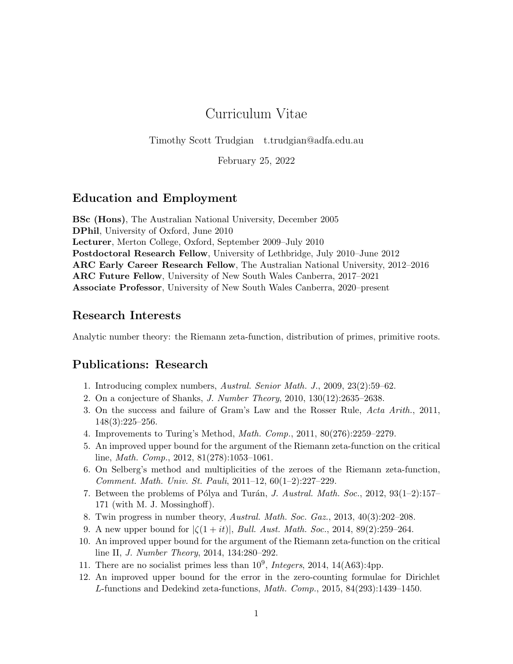# Curriculum Vitae

Timothy Scott Trudgian t.trudgian@adfa.edu.au

February 25, 2022

### Education and Employment

BSc (Hons), The Australian National University, December 2005 DPhil, University of Oxford, June 2010 Lecturer, Merton College, Oxford, September 2009–July 2010 Postdoctoral Research Fellow, University of Lethbridge, July 2010–June 2012 ARC Early Career Research Fellow, The Australian National University, 2012–2016 ARC Future Fellow, University of New South Wales Canberra, 2017–2021 Associate Professor, University of New South Wales Canberra, 2020–present

### Research Interests

Analytic number theory: the Riemann zeta-function, distribution of primes, primitive roots.

# Publications: Research

- 1. Introducing complex numbers, Austral. Senior Math. J., 2009, 23(2):59–62.
- 2. On a conjecture of Shanks, J. Number Theory, 2010, 130(12):2635–2638.
- 3. On the success and failure of Gram's Law and the Rosser Rule, Acta Arith., 2011, 148(3):225–256.
- 4. Improvements to Turing's Method, Math. Comp., 2011, 80(276):2259–2279.
- 5. An improved upper bound for the argument of the Riemann zeta-function on the critical line, Math. Comp., 2012, 81(278):1053–1061.
- 6. On Selberg's method and multiplicities of the zeroes of the Riemann zeta-function, Comment. Math. Univ. St. Pauli, 2011–12, 60(1–2):227–229.
- 7. Between the problems of Pólya and Turán, J. Austral. Math. Soc., 2012,  $93(1-2):157-$ 171 (with M. J. Mossinghoff).
- 8. Twin progress in number theory, Austral. Math. Soc. Gaz., 2013, 40(3):202–208.
- 9. A new upper bound for  $|\zeta(1+it)|$ , *Bull. Aust. Math. Soc.*, 2014, 89(2):259–264.
- 10. An improved upper bound for the argument of the Riemann zeta-function on the critical line II, J. Number Theory, 2014, 134:280–292.
- 11. There are no socialist primes less than  $10^9$ , *Integers*, 2014, 14(A63):4pp.
- 12. An improved upper bound for the error in the zero-counting formulae for Dirichlet L-functions and Dedekind zeta-functions, Math. Comp., 2015, 84(293):1439–1450.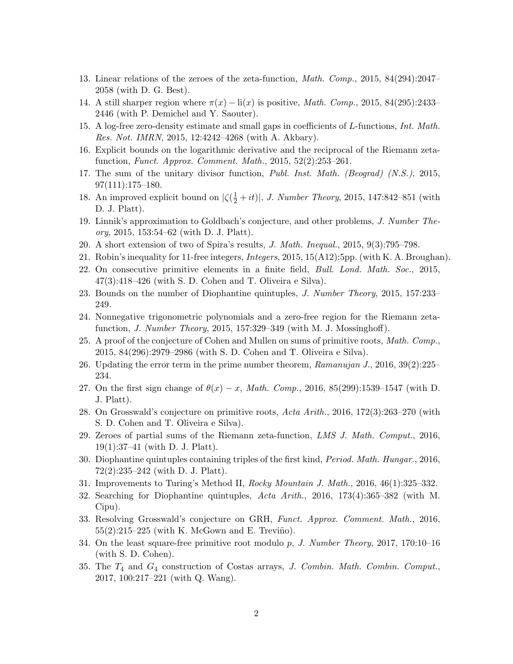- 13. Linear relations of the zeroes of the zeta-function, Math. Comp., 2015, 84(294):2047– 2058 (with D. G. Best).
- 14. A still sharper region where  $\pi(x) \text{li}(x)$  is positive, *Math. Comp.*, 2015, 84(295):2433– 2446 (with P. Demichel and Y. Saouter).
- 15. A log-free zero-density estimate and small gaps in coefficients of L-functions, Int. Math. Res. Not. IMRN, 2015, 12:4242–4268 (with A. Akbary).
- 16. Explicit bounds on the logarithmic derivative and the reciprocal of the Riemann zetafunction, Funct. Approx. Comment. Math., 2015, 52(2):253–261.
- 17. The sum of the unitary divisor function, Publ. Inst. Math. (Beograd) (N.S.), 2015, 97(111):175–180.
- 18. An improved explicit bound on  $|\zeta(\frac{1}{2}+it)|$ , *J. Number Theory*, 2015, 147:842-851 (with D. J. Platt).
- 19. Linnik's approximation to Goldbach's conjecture, and other problems, J. Number Theory, 2015, 153:54–62 (with D. J. Platt).
- 20. A short extension of two of Spira's results, J. Math. Inequal., 2015, 9(3):795–798.
- 21. Robin's inequality for 11-free integers, Integers, 2015, 15(A12):5pp. (with K. A. Broughan).
- 22. On consecutive primitive elements in a finite field, Bull. Lond. Math. Soc., 2015, 47(3):418–426 (with S. D. Cohen and T. Oliveira e Silva).
- 23. Bounds on the number of Diophantine quintuples, J. Number Theory, 2015, 157:233– 249.
- 24. Nonnegative trigonometric polynomials and a zero-free region for the Riemann zetafunction, J. Number Theory, 2015, 157:329–349 (with M. J. Mossinghoff).
- 25. A proof of the conjecture of Cohen and Mullen on sums of primitive roots, Math. Comp., 2015, 84(296):2979–2986 (with S. D. Cohen and T. Oliveira e Silva).
- 26. Updating the error term in the prime number theorem,  $Ramanujan J.$ , 2016, 39(2):225– 234.
- 27. On the first sign change of  $\theta(x) x$ , Math. Comp., 2016, 85(299):1539–1547 (with D. J. Platt).
- 28. On Grosswald's conjecture on primitive roots, Acta Arith., 2016, 172(3):263–270 (with S. D. Cohen and T. Oliveira e Silva).
- 29. Zeroes of partial sums of the Riemann zeta-function, LMS J. Math. Comput., 2016, 19(1):37–41 (with D. J. Platt).
- 30. Diophantine quintuples containing triples of the first kind, Period. Math. Hungar., 2016, 72(2):235–242 (with D. J. Platt).
- 31. Improvements to Turing's Method II, Rocky Mountain J. Math., 2016, 46(1):325–332.
- 32. Searching for Diophantine quintuples, Acta Arith., 2016, 173(4):365–382 (with M. Cipu).
- 33. Resolving Grosswald's conjecture on GRH, Funct. Approx. Comment. Math., 2016,  $55(2):215-225$  (with K. McGown and E. Treviño).
- 34. On the least square-free primitive root modulo p, J. Number Theory, 2017, 170:10-16 (with S. D. Cohen).
- 35. The T<sup>4</sup> and G<sup>4</sup> construction of Costas arrays, J. Combin. Math. Combin. Comput., 2017, 100:217–221 (with Q. Wang).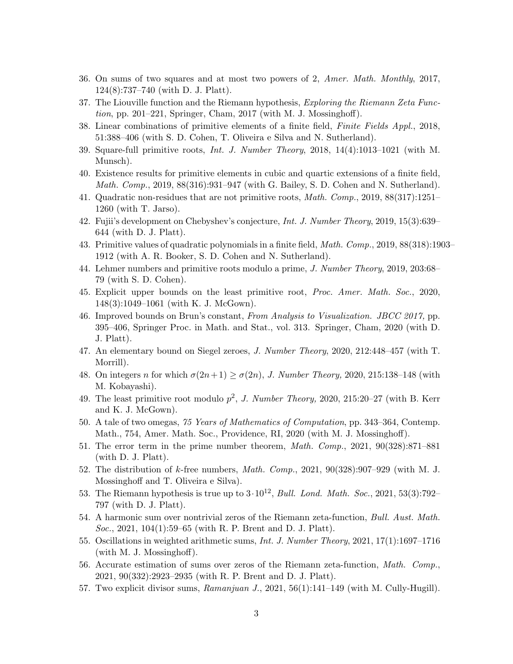- 36. On sums of two squares and at most two powers of 2, Amer. Math. Monthly, 2017, 124(8):737–740 (with D. J. Platt).
- 37. The Liouville function and the Riemann hypothesis, *Exploring the Riemann Zeta Func*tion, pp. 201–221, Springer, Cham, 2017 (with M. J. Mossinghoff).
- 38. Linear combinations of primitive elements of a finite field, Finite Fields Appl., 2018, 51:388–406 (with S. D. Cohen, T. Oliveira e Silva and N. Sutherland).
- 39. Square-full primitive roots, Int. J. Number Theory, 2018, 14(4):1013–1021 (with M. Munsch).
- 40. Existence results for primitive elements in cubic and quartic extensions of a finite field, Math. Comp., 2019, 88(316):931–947 (with G. Bailey, S. D. Cohen and N. Sutherland).
- 41. Quadratic non-residues that are not primitive roots, Math. Comp., 2019, 88(317):1251– 1260 (with T. Jarso).
- 42. Fujii's development on Chebyshev's conjecture, Int. J. Number Theory, 2019, 15(3):639– 644 (with D. J. Platt).
- 43. Primitive values of quadratic polynomials in a finite field, Math. Comp., 2019, 88(318):1903– 1912 (with A. R. Booker, S. D. Cohen and N. Sutherland).
- 44. Lehmer numbers and primitive roots modulo a prime, J. Number Theory, 2019, 203:68– 79 (with S. D. Cohen).
- 45. Explicit upper bounds on the least primitive root, Proc. Amer. Math. Soc., 2020, 148(3):1049–1061 (with K. J. McGown).
- 46. Improved bounds on Brun's constant, From Analysis to Visualization. JBCC 2017, pp. 395–406, Springer Proc. in Math. and Stat., vol. 313. Springer, Cham, 2020 (with D. J. Platt).
- 47. An elementary bound on Siegel zeroes, J. Number Theory, 2020, 212:448–457 (with T. Morrill).
- 48. On integers n for which  $\sigma(2n+1) \geq \sigma(2n)$ , J. Number Theory, 2020, 215:138–148 (with M. Kobayashi).
- 49. The least primitive root modulo  $p^2$ , *J. Number Theory*, 2020, 215:20–27 (with B. Kerr and K. J. McGown).
- 50. A tale of two omegas, 75 Years of Mathematics of Computation, pp. 343–364, Contemp. Math., 754, Amer. Math. Soc., Providence, RI, 2020 (with M. J. Mossinghoff).
- 51. The error term in the prime number theorem, Math. Comp., 2021, 90(328):871–881 (with D. J. Platt).
- 52. The distribution of k-free numbers, *Math. Comp.*, 2021,  $90(328):907-929$  (with M. J. Mossinghoff and T. Oliveira e Silva).
- 53. The Riemann hypothesis is true up to  $3 \cdot 10^{12}$ , *Bull. Lond. Math. Soc.*, 2021, 53(3):792– 797 (with D. J. Platt).
- 54. A harmonic sum over nontrivial zeros of the Riemann zeta-function, Bull. Aust. Math. Soc., 2021, 104(1):59–65 (with R. P. Brent and D. J. Platt).
- 55. Oscillations in weighted arithmetic sums, Int. J. Number Theory, 2021, 17(1):1697–1716 (with M. J. Mossinghoff).
- 56. Accurate estimation of sums over zeros of the Riemann zeta-function, Math. Comp., 2021, 90(332):2923–2935 (with R. P. Brent and D. J. Platt).
- 57. Two explicit divisor sums,  $Ramanjuan\ J.$ , 2021, 56(1):141–149 (with M. Cully-Hugill).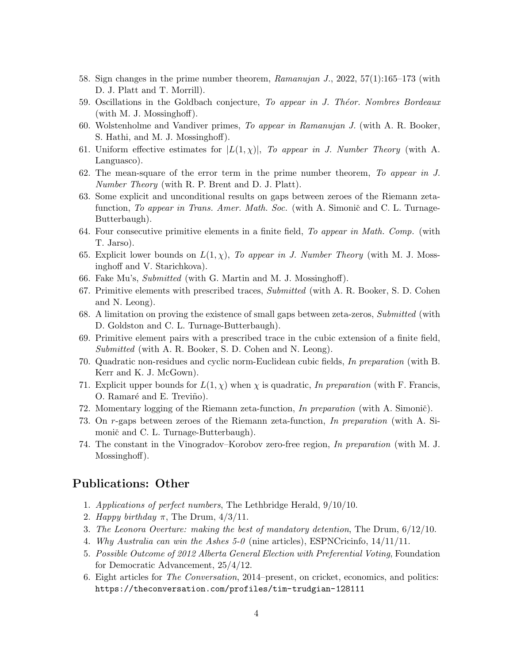- 58. Sign changes in the prime number theorem, Ramanujan J., 2022, 57(1):165–173 (with D. J. Platt and T. Morrill).
- 59. Oscillations in the Goldbach conjecture, To appear in J. Théor. Nombres Bordeaux (with M. J. Mossinghoff).
- 60. Wolstenholme and Vandiver primes, To appear in Ramanujan J. (with A. R. Booker, S. Hathi, and M. J. Mossinghoff).
- 61. Uniform effective estimates for  $|L(1, \chi)|$ , To appear in J. Number Theory (with A. Languasco).
- 62. The mean-square of the error term in the prime number theorem, To appear in J. Number Theory (with R. P. Brent and D. J. Platt).
- 63. Some explicit and unconditional results on gaps between zeroes of the Riemann zetafunction, To appear in Trans. Amer. Math. Soc. (with A. Simonič and C. L. Turnage-Butterbaugh).
- 64. Four consecutive primitive elements in a finite field, To appear in Math. Comp. (with T. Jarso).
- 65. Explicit lower bounds on  $L(1, \chi)$ , To appear in J. Number Theory (with M. J. Mossinghoff and V. Starichkova).
- 66. Fake Mu's, Submitted (with G. Martin and M. J. Mossinghoff).
- 67. Primitive elements with prescribed traces, Submitted (with A. R. Booker, S. D. Cohen and N. Leong).
- 68. A limitation on proving the existence of small gaps between zeta-zeros, Submitted (with D. Goldston and C. L. Turnage-Butterbaugh).
- 69. Primitive element pairs with a prescribed trace in the cubic extension of a finite field, Submitted (with A. R. Booker, S. D. Cohen and N. Leong).
- 70. Quadratic non-residues and cyclic norm-Euclidean cubic fields, In preparation (with B. Kerr and K. J. McGown).
- 71. Explicit upper bounds for  $L(1,\chi)$  when  $\chi$  is quadratic, In preparation (with F. Francis, O. Ramaré and E. Treviño).
- 72. Momentary logging of the Riemann zeta-function, In preparation (with A. Simonič).
- 73. On r-gaps between zeroes of the Riemann zeta-function, In preparation (with A. Simonič and C. L. Turnage-Butterbaugh).
- 74. The constant in the Vinogradov–Korobov zero-free region, In preparation (with M. J. Mossinghoff).

### Publications: Other

- 1. Applications of perfect numbers, The Lethbridge Herald, 9/10/10.
- 2. Happy birthday  $\pi$ , The Drum,  $4/3/11$ .
- 3. The Leonora Overture: making the best of mandatory detention, The Drum, 6/12/10.
- 4. Why Australia can win the Ashes 5-0 (nine articles), ESPNCricinfo, 14/11/11.
- 5. Possible Outcome of 2012 Alberta General Election with Preferential Voting, Foundation for Democratic Advancement, 25/4/12.
- 6. Eight articles for The Conversation, 2014–present, on cricket, economics, and politics: https://theconversation.com/profiles/tim-trudgian-128111